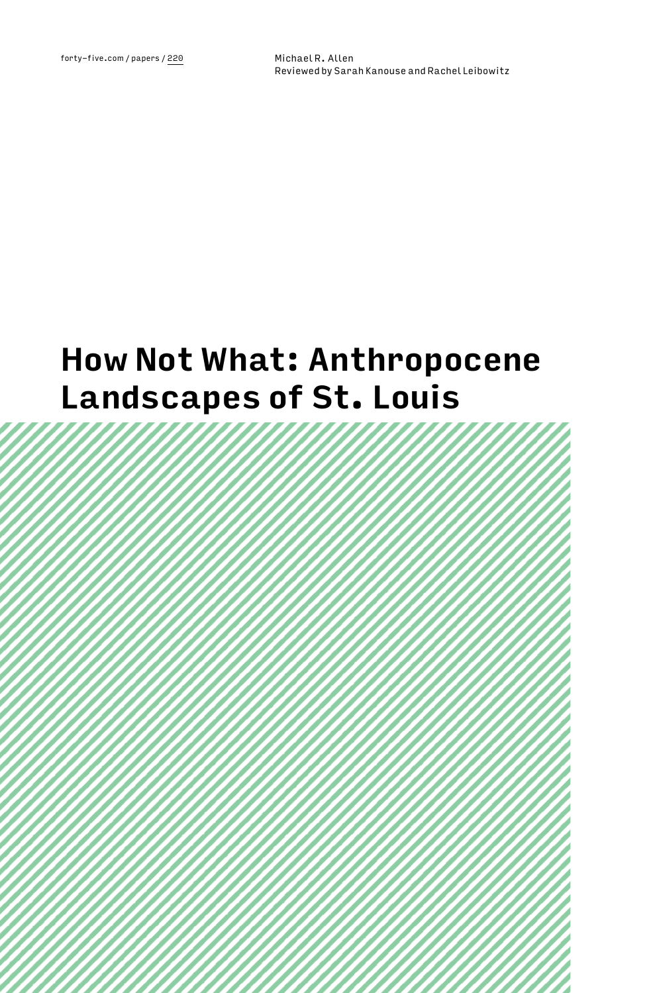# **How Not What: Anthropocene Landscapes of St. Louis**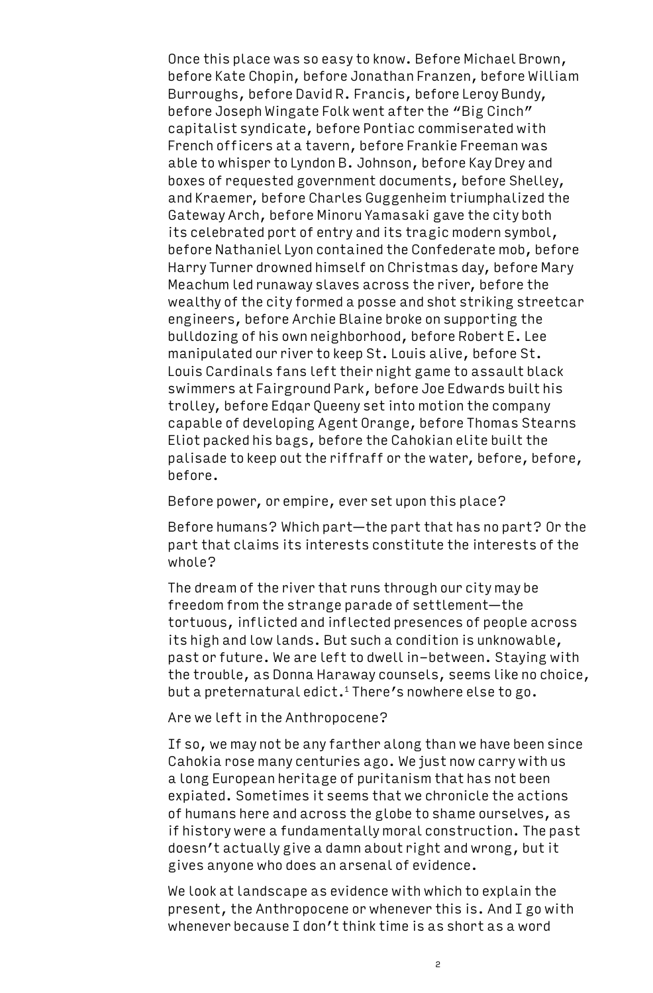Once this place was so easy to know. Before Michael Brown, before Kate Chopin, before Jonathan Franzen, before William Burroughs, before David R. Francis, before Leroy Bundy, before Joseph Wingate Folk went after the "Big Cinch" capitalist syndicate, before Pontiac commiserated with French officers at a tavern, before Frankie Freeman was able to whisper to Lyndon B. Johnson, before Kay Drey and boxes of requested government documents, before Shelley, and Kraemer, before Charles Guggenheim triumphalized the Gateway Arch, before Minoru Yamasaki gave the city both its celebrated port of entry and its tragic modern symbol, before Nathaniel Lyon contained the Confederate mob, before Harry Turner drowned himself on Christmas day, before Mary Meachum led runaway slaves across the river, before the wealthy of the city formed a posse and shot striking streetcar engineers, before Archie Blaine broke on supporting the bulldozing of his own neighborhood, before Robert E. Lee manipulated our river to keep St. Louis alive, before St. Louis Cardinals fans left their night game to assault black swimmers at Fairground Park, before Joe Edwards built his trolley, before Edqar Queeny set into motion the company capable of developing Agent Orange, before Thomas Stearns Eliot packed his bags, before the Cahokian elite built the palisade to keep out the riffraff or the water, before, before, before.

Before power, or empire, ever set upon this place?

Before humans? Which part—the part that has no part? Or the part that claims its interests constitute the interests of the whole?

The dream of the river that runs through our city may be freedom from the strange parade of settlement—the tortuous, inflicted and inflected presences of people across its high and low lands. But such a condition is unknowable, past or future. We are left to dwell in-between. Staying with the trouble, as Donna Haraway counsels, seems like no choice, but a preternatural edict.<sup>1</sup> There's nowhere else to go.

## Are we left in the Anthropocene?

If so, we may not be any farther along than we have been since Cahokia rose many centuries ago. We just now carry with us a long European heritage of puritanism that has not been expiated. Sometimes it seems that we chronicle the actions of humans here and across the globe to shame ourselves, as if history were a fundamentally moral construction. The past doesn't actually give a damn about right and wrong, but it gives anyone who does an arsenal of evidence.

We look at landscape as evidence with which to explain the present, the Anthropocene or whenever this is. And I go with whenever because I don't think time is as short as a word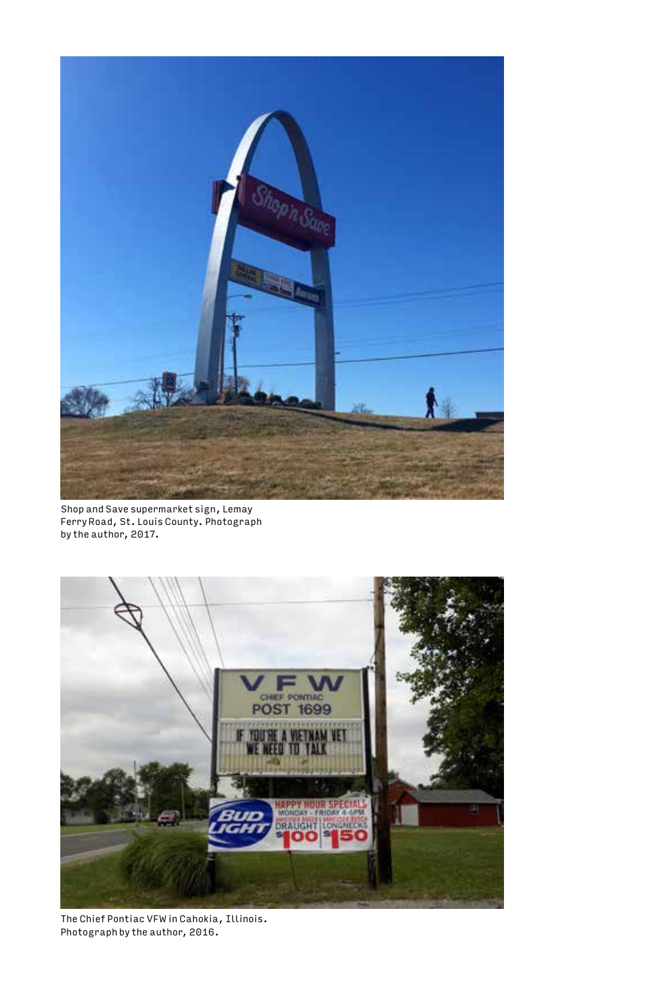

Shop and Save supermarket sign, Lemay Ferry Road, St. Louis County. Photograph by the author, 2017.



The Chief Pontiac VFW in Cahokia, Illinois. Photograph by the author, 2016.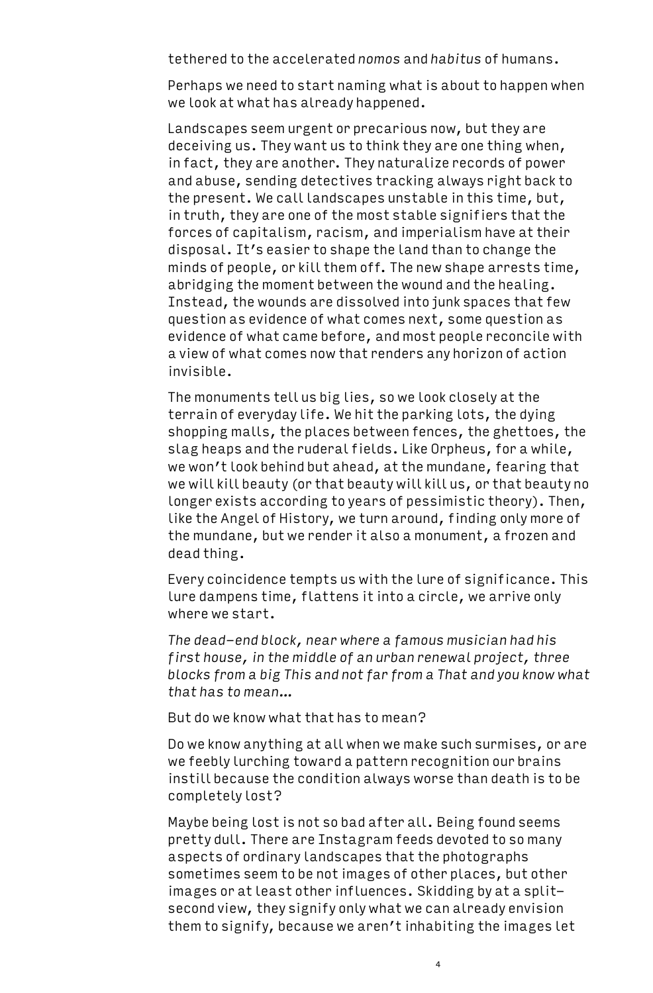tethered to the accelerated *nomos* and *habitus* of humans.

Perhaps we need to start naming what is about to happen when we look at what has already happened.

Landscapes seem urgent or precarious now, but they are deceiving us. They want us to think they are one thing when, in fact, they are another. They naturalize records of power and abuse, sending detectives tracking always right back to the present. We call landscapes unstable in this time, but, in truth, they are one of the most stable signifiers that the forces of capitalism, racism, and imperialism have at their disposal. It's easier to shape the land than to change the minds of people, or kill them off. The new shape arrests time, abridging the moment between the wound and the healing. Instead, the wounds are dissolved into junk spaces that few question as evidence of what comes next, some question as evidence of what came before, and most people reconcile with a view of what comes now that renders any horizon of action invisible.

The monuments tell us big lies, so we look closely at the terrain of everyday life. We hit the parking lots, the dying shopping malls, the places between fences, the ghettoes, the slag heaps and the ruderal fields. Like Orpheus, for a while, we won't look behind but ahead, at the mundane, fearing that we will kill beauty (or that beauty will kill us, or that beauty no longer exists according to years of pessimistic theory). Then, like the Angel of History, we turn around, finding only more of the mundane, but we render it also a monument, a frozen and dead thing.

Every coincidence tempts us with the lure of significance. This lure dampens time, flattens it into a circle, we arrive only where we start.

*The dead-end block, near where a famous musician had his first house, in the middle of an urban renewal project, three blocks from a big This and not far from a That and you know what that has to mean…*

But do we know what that has to mean?

Do we know anything at all when we make such surmises, or are we feebly lurching toward a pattern recognition our brains instill because the condition always worse than death is to be completely lost?

Maybe being lost is not so bad after all. Being found seems pretty dull. There are Instagram feeds devoted to so many aspects of ordinary landscapes that the photographs sometimes seem to be not images of other places, but other images or at least other influences. Skidding by at a splitsecond view, they signify only what we can already envision them to signify, because we aren't inhabiting the images let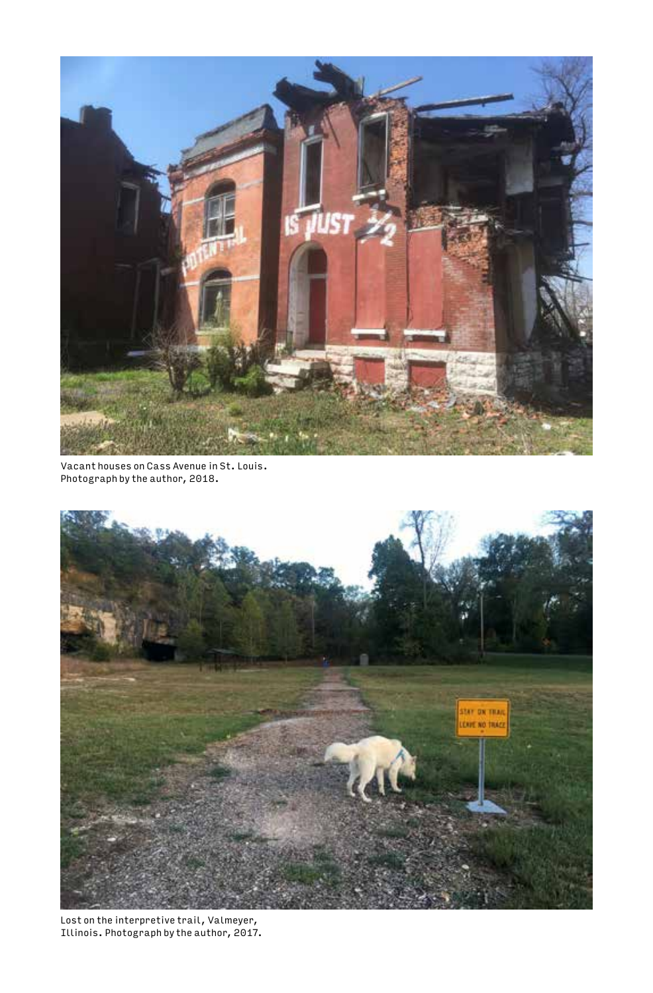

Vacant houses on Cass Avenue in St. Louis. Photograph by the author, 2018.



Lost on the interpretive trail, Valmeyer, Illinois. Photograph by the author, 2017.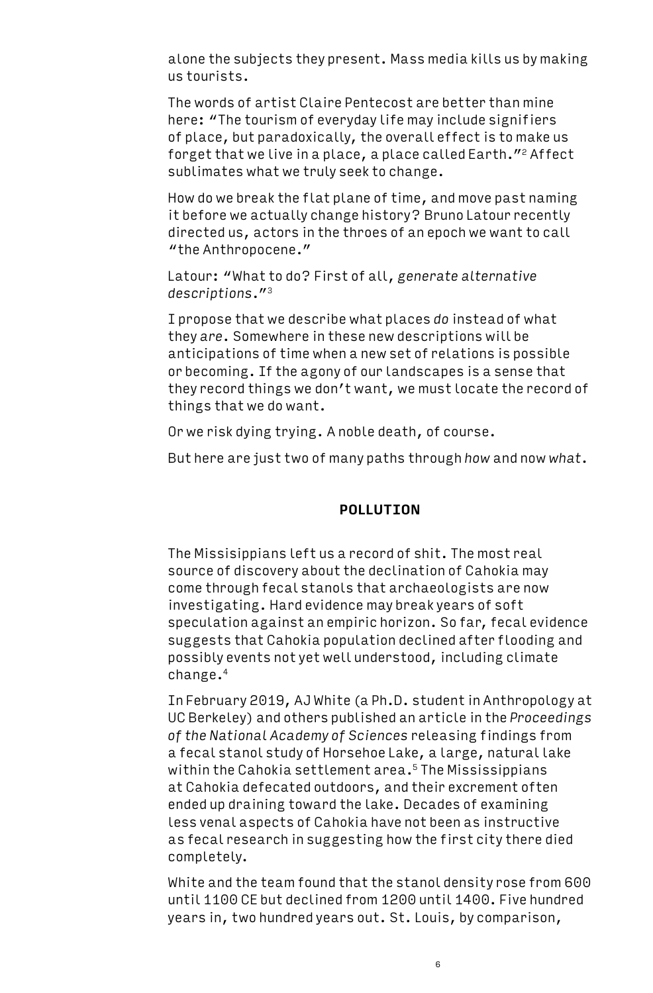alone the subjects they present. Mass media kills us by making us tourists.

The words of artist Claire Pentecost are better than mine here: "The tourism of everyday life may include signifiers of place, but paradoxically, the overall effect is to make us forget that we live in a place, a place called Earth."<sup>2</sup> Affect sublimates what we truly seek to change.

How do we break the flat plane of time, and move past naming it before we actually change history? Bruno Latour recently directed us, actors in the throes of an epoch we want to call "the Anthropocene."

Latour: "What to do? First of all, *generate alternative descriptions*."3

I propose that we describe what places *do* instead of what they *are*. Somewhere in these new descriptions will be anticipations of time when a new set of relations is possible or becoming. If the agony of our landscapes is a sense that they record things we don't want, we must locate the record of things that we do want.

Or we risk dying trying. A noble death, of course.

But here are just two of many paths through *how* and now *what*.

### **POLLUTION**

The Missisippians left us a record of shit. The most real source of discovery about the declination of Cahokia may come through fecal stanols that archaeologists are now investigating. Hard evidence may break years of soft speculation against an empiric horizon. So far, fecal evidence suggests that Cahokia population declined after flooding and possibly events not yet well understood, including climate change.4

In February 2019, AJ White (a Ph.D. student in Anthropology at UC Berkeley) and others published an article in the *Proceedings of the National Academy of Sciences* releasing findings from a fecal stanol study of Horsehoe Lake, a large, natural lake within the Cahokia settlement area.<sup>5</sup> The Mississippians at Cahokia defecated outdoors, and their excrement often ended up draining toward the lake. Decades of examining less venal aspects of Cahokia have not been as instructive as fecal research in suggesting how the first city there died completely.

White and the team found that the stanol density rose from 600 until 1100 CE but declined from 1200 until 1400. Five hundred years in, two hundred years out. St. Louis, by comparison,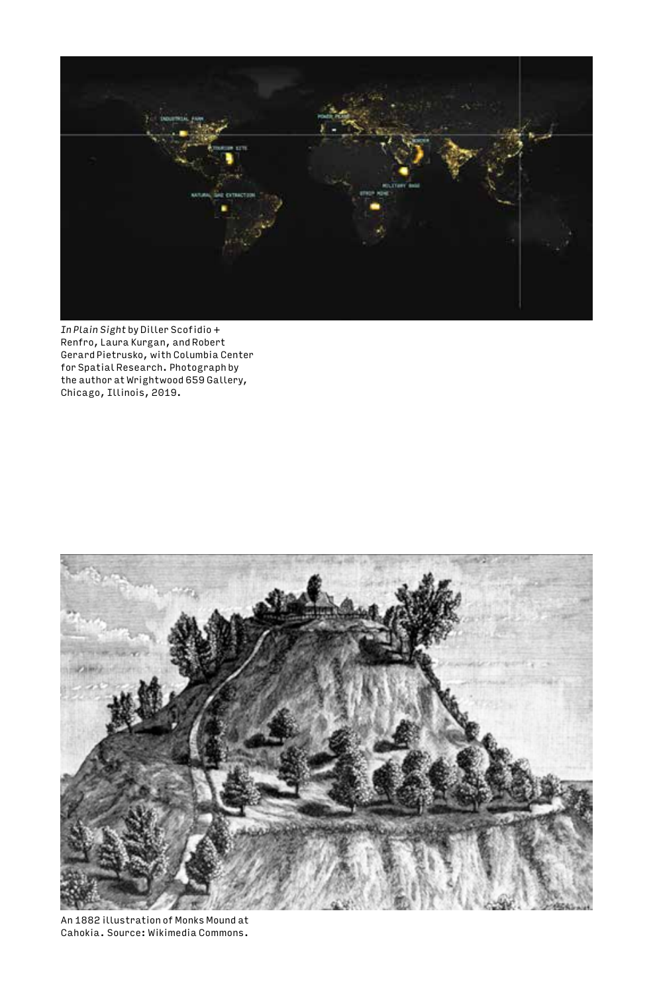

*In Plain Sight* by Diller Scofidio + Renfro, Laura Kurgan, and Robert Gerard Pietrusko, with Columbia Center for Spatial Research. Photograph by the author at Wrightwood 659 Gallery, Chicago, Illinois, 2019.



An 1882 illustration of Monks Mound at Cahokia. Source: Wikimedia Commons.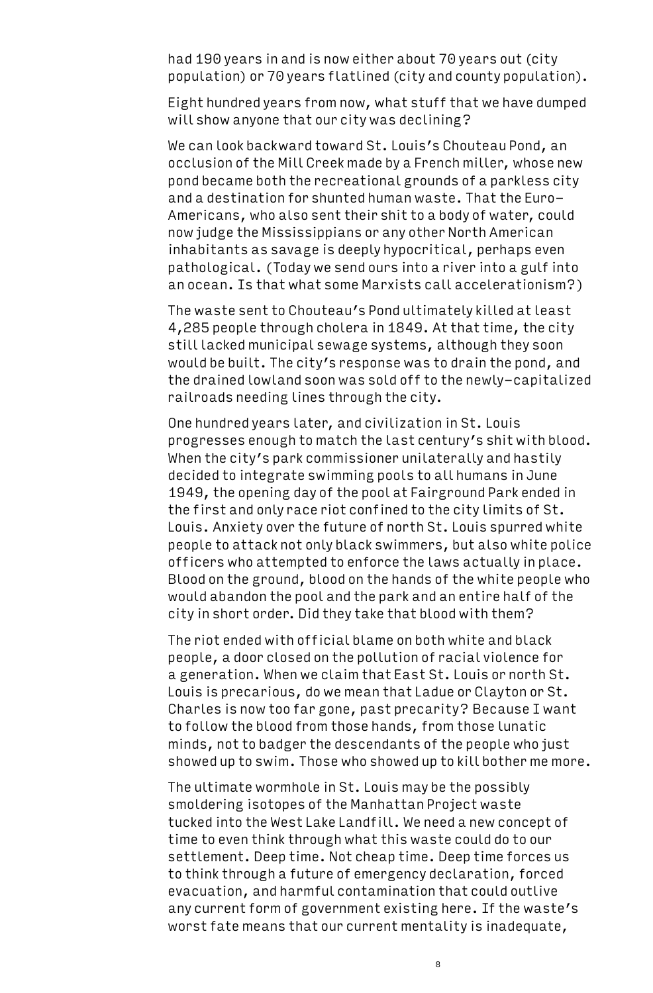had 190 years in and is now either about 70 years out (city population) or 70 years flatlined (city and county population).

Eight hundred years from now, what stuff that we have dumped will show anyone that our city was declining?

We can look backward toward St. Louis's Chouteau Pond, an occlusion of the Mill Creek made by a French miller, whose new pond became both the recreational grounds of a parkless city and a destination for shunted human waste. That the Euro-Americans, who also sent their shit to a body of water, could now judge the Mississippians or any other North American inhabitants as savage is deeply hypocritical, perhaps even pathological. (Today we send ours into a river into a gulf into an ocean. Is that what some Marxists call accelerationism?)

The waste sent to Chouteau's Pond ultimately killed at least 4,285 people through cholera in 1849. At that time, the city still lacked municipal sewage systems, although they soon would be built. The city's response was to drain the pond, and the drained lowland soon was sold off to the newly-capitalized railroads needing lines through the city.

One hundred years later, and civilization in St. Louis progresses enough to match the last century's shit with blood. When the city's park commissioner unilaterally and hastily decided to integrate swimming pools to all humans in June 1949, the opening day of the pool at Fairground Park ended in the first and only race riot confined to the city limits of St. Louis. Anxiety over the future of north St. Louis spurred white people to attack not only black swimmers, but also white police officers who attempted to enforce the laws actually in place. Blood on the ground, blood on the hands of the white people who would abandon the pool and the park and an entire half of the city in short order. Did they take that blood with them?

The riot ended with official blame on both white and black people, a door closed on the pollution of racial violence for a generation. When we claim that East St. Louis or north St. Louis is precarious, do we mean that Ladue or Clayton or St. Charles is now too far gone, past precarity? Because I want to follow the blood from those hands, from those lunatic minds, not to badger the descendants of the people who just showed up to swim. Those who showed up to kill bother me more.

The ultimate wormhole in St. Louis may be the possibly smoldering isotopes of the Manhattan Project waste tucked into the West Lake Landfill. We need a new concept of time to even think through what this waste could do to our settlement. Deep time. Not cheap time. Deep time forces us to think through a future of emergency declaration, forced evacuation, and harmful contamination that could outlive any current form of government existing here. If the waste's worst fate means that our current mentality is inadequate,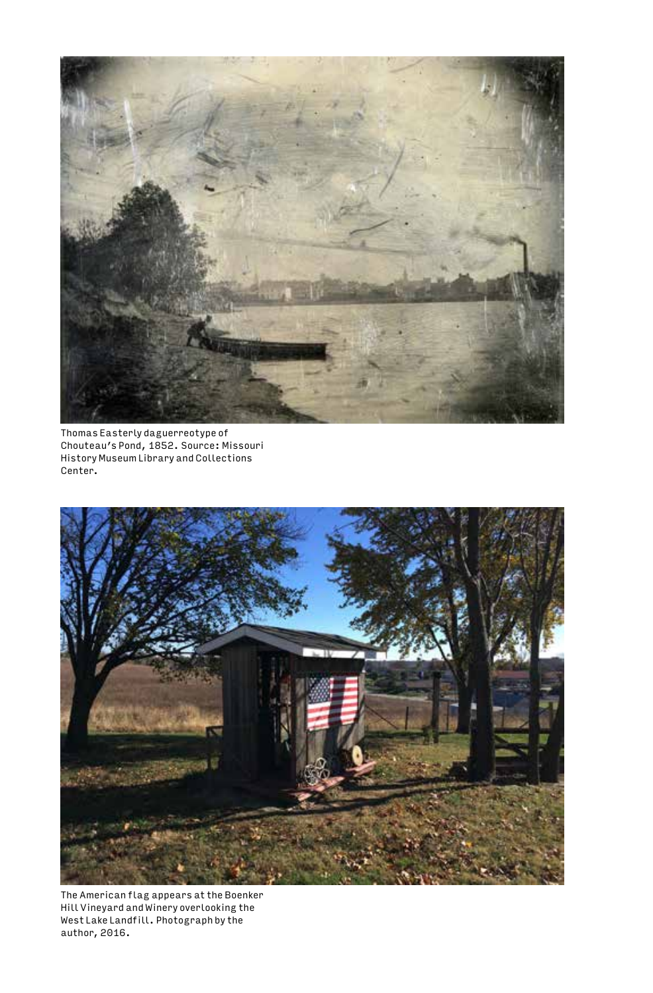

Thomas Easterly daguerreotype of Chouteau's Pond, 1852. Source: Missouri History Museum Library and Collections Center.



The American flag appears at the Boenker Hill Vineyard and Winery overlooking the West Lake Landfill. Photograph by the author, 2016.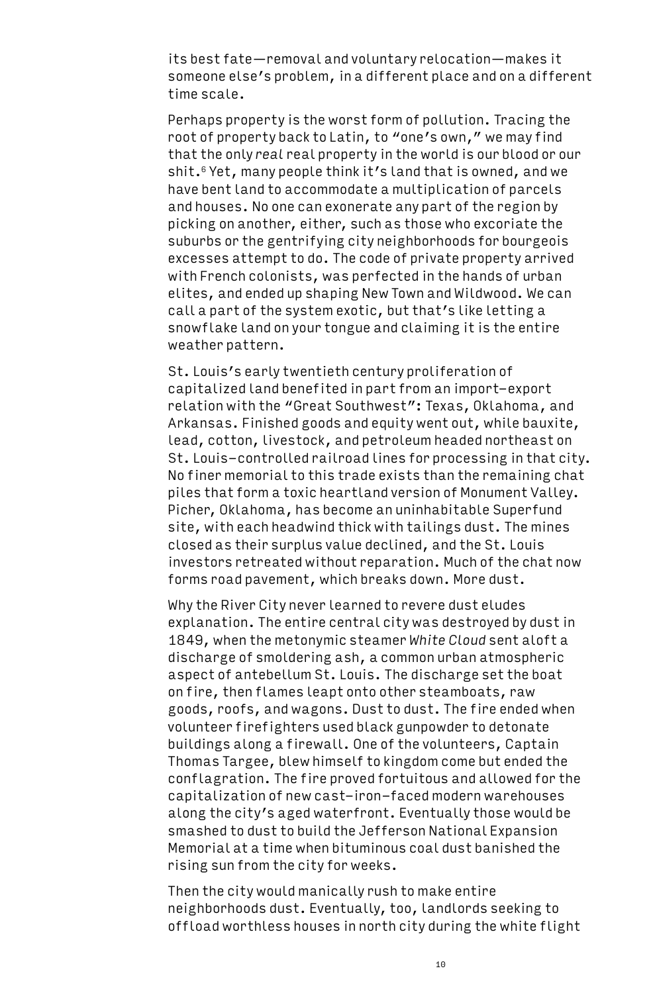its best fate—removal and voluntary relocation—makes it someone else's problem, in a different place and on a different time scale.

Perhaps property is the worst form of pollution. Tracing the root of property back to Latin, to "one's own," we may find that the only *real* real property in the world is our blood or our shit.<sup>6</sup> Yet, many people think it's land that is owned, and we have bent land to accommodate a multiplication of parcels and houses. No one can exonerate any part of the region by picking on another, either, such as those who excoriate the suburbs or the gentrifying city neighborhoods for bourgeois excesses attempt to do. The code of private property arrived with French colonists, was perfected in the hands of urban elites, and ended up shaping New Town and Wildwood. We can call a part of the system exotic, but that's like letting a snowflake land on your tongue and claiming it is the entire weather pattern.

St. Louis's early twentieth century proliferation of capitalized land benefited in part from an import-export relation with the "Great Southwest": Texas, Oklahoma, and Arkansas. Finished goods and equity went out, while bauxite, lead, cotton, livestock, and petroleum headed northeast on St. Louis-controlled railroad lines for processing in that city. No finer memorial to this trade exists than the remaining chat piles that form a toxic heartland version of Monument Valley. Picher, Oklahoma, has become an uninhabitable Superfund site, with each headwind thick with tailings dust. The mines closed as their surplus value declined, and the St. Louis investors retreated without reparation. Much of the chat now forms road pavement, which breaks down. More dust.

Why the River City never learned to revere dust eludes explanation. The entire central city was destroyed by dust in 1849, when the metonymic steamer *White Cloud* sent aloft a discharge of smoldering ash, a common urban atmospheric aspect of antebellum St. Louis. The discharge set the boat on fire, then flames leapt onto other steamboats, raw goods, roofs, and wagons. Dust to dust. The fire ended when volunteer firefighters used black gunpowder to detonate buildings along a firewall. One of the volunteers, Captain Thomas Targee, blew himself to kingdom come but ended the conflagration. The fire proved fortuitous and allowed for the capitalization of new cast-iron-faced modern warehouses along the city's aged waterfront. Eventually those would be smashed to dust to build the Jefferson National Expansion Memorial at a time when bituminous coal dust banished the rising sun from the city for weeks.

Then the city would manically rush to make entire neighborhoods dust. Eventually, too, landlords seeking to offload worthless houses in north city during the white flight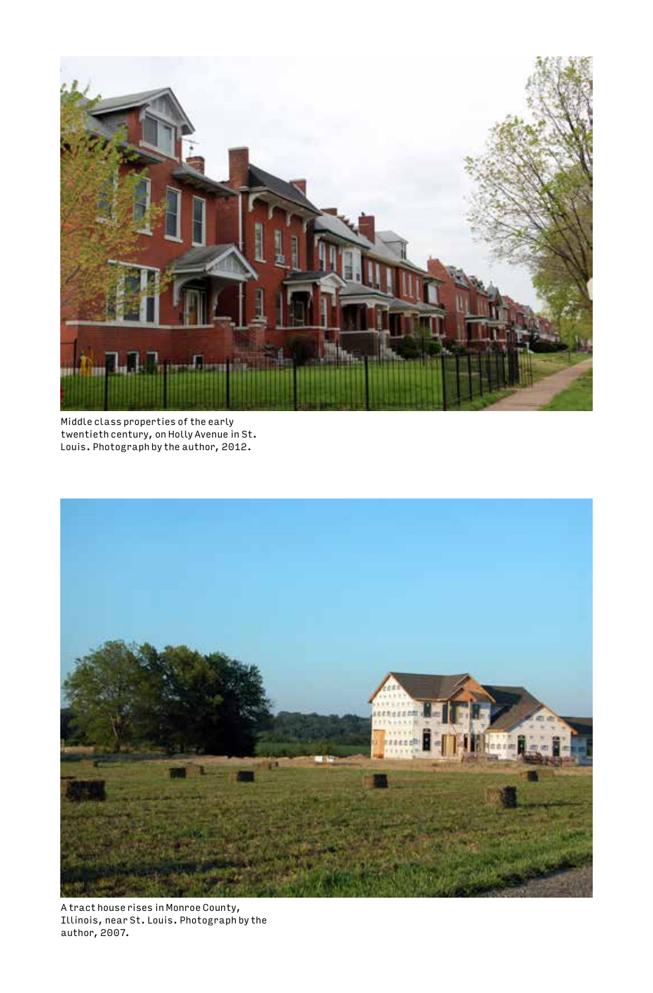

Middle class properties of the early twentieth century, on Holly Avenue in St. Louis. Photograph by the author, 2012.



A tract house rises in Monroe County, Illinois, near St. Louis. Photograph by the author, 2007.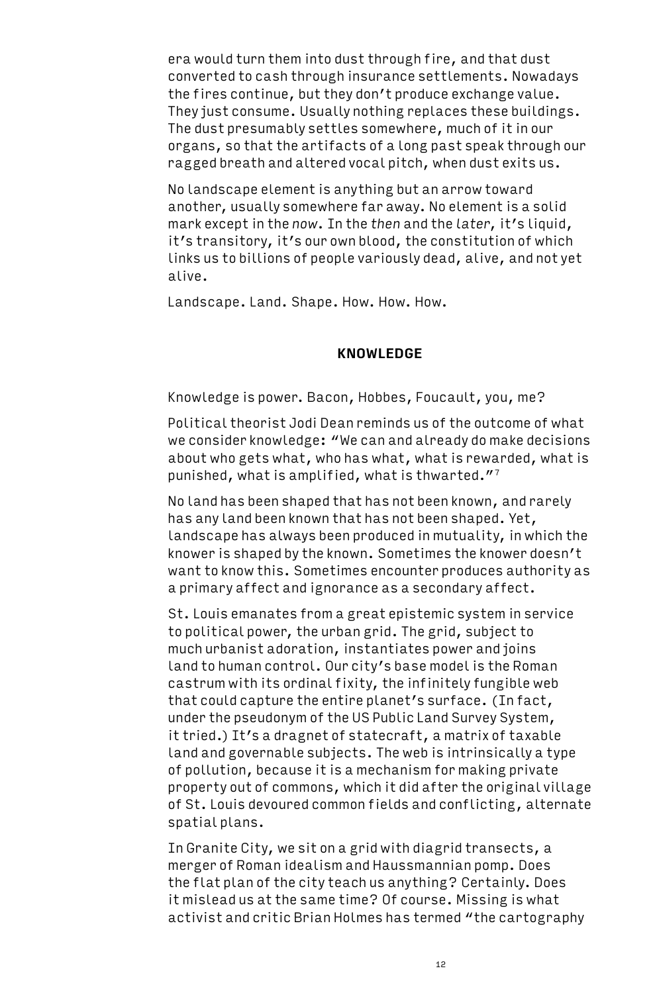era would turn them into dust through fire, and that dust converted to cash through insurance settlements. Nowadays the fires continue, but they don't produce exchange value. They just consume. Usually nothing replaces these buildings. The dust presumably settles somewhere, much of it in our organs, so that the artifacts of a long past speak through our ragged breath and altered vocal pitch, when dust exits us.

No landscape element is anything but an arrow toward another, usually somewhere far away. No element is a solid mark except in the *now*. In the *then* and the *later*, it's liquid, it's transitory, it's our own blood, the constitution of which links us to billions of people variously dead, alive, and not yet alive.

Landscape. Land. Shape. How. How. How.

#### **KNOWLEDGE**

Knowledge is power. Bacon, Hobbes, Foucault, you, me?

Political theorist Jodi Dean reminds us of the outcome of what we consider knowledge: "We can and already do make decisions about who gets what, who has what, what is rewarded, what is punished, what is amplified, what is thwarted."<sup>7</sup>

No land has been shaped that has not been known, and rarely has any land been known that has not been shaped. Yet, landscape has always been produced in mutuality, in which the knower is shaped by the known. Sometimes the knower doesn't want to know this. Sometimes encounter produces authority as a primary affect and ignorance as a secondary affect.

St. Louis emanates from a great epistemic system in service to political power, the urban grid. The grid, subject to much urbanist adoration, instantiates power and joins land to human control. Our city's base model is the Roman castrum with its ordinal fixity, the infinitely fungible web that could capture the entire planet's surface. (In fact, under the pseudonym of the US Public Land Survey System, it tried.) It's a dragnet of statecraft, a matrix of taxable land and governable subjects. The web is intrinsically a type of pollution, because it is a mechanism for making private property out of commons, which it did after the original village of St. Louis devoured common fields and conflicting, alternate spatial plans.

In Granite City, we sit on a grid with diagrid transects, a merger of Roman idealism and Haussmannian pomp. Does the flat plan of the city teach us anything? Certainly. Does it mislead us at the same time? Of course. Missing is what activist and critic Brian Holmes has termed "the cartography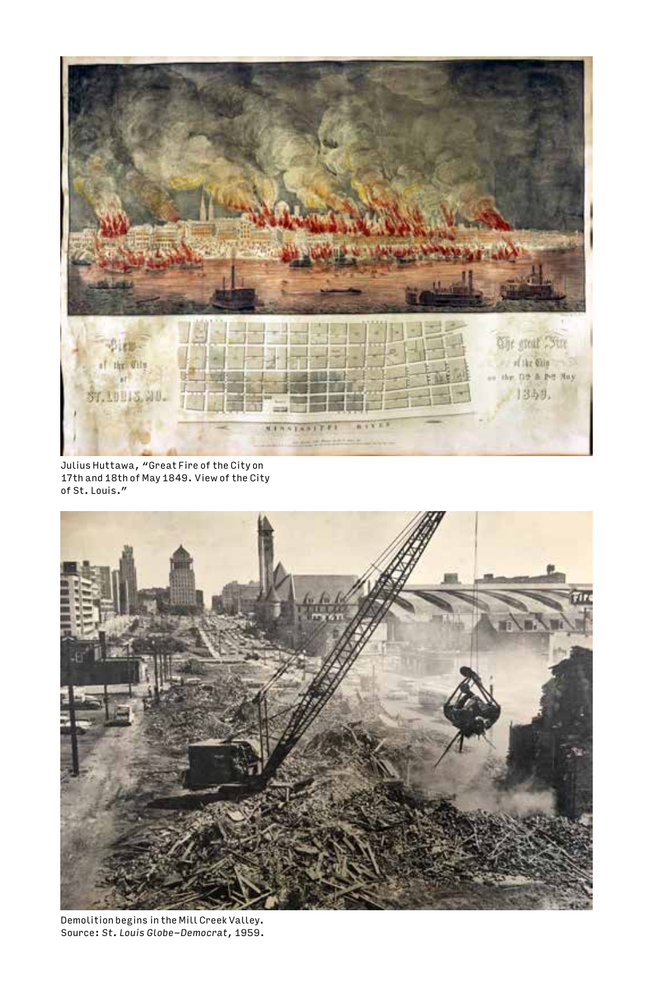

Julius Huttawa, "Great Fire of the City on 17th and 18th of May 1849. View of the City of St. Louis."



Demolition begins in the Mill Creek Valley. Source: *St. Louis Globe-Democrat*, 1959.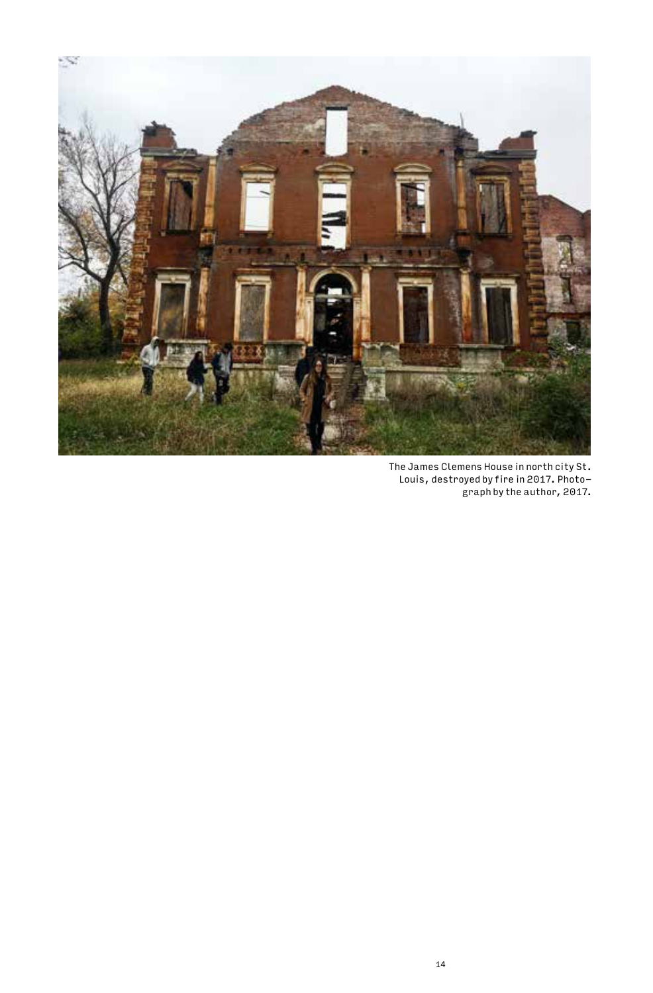

The James Clemens House in north city St. Louis, destroyed by fire in 2017. Photo-graph by the author, 2017.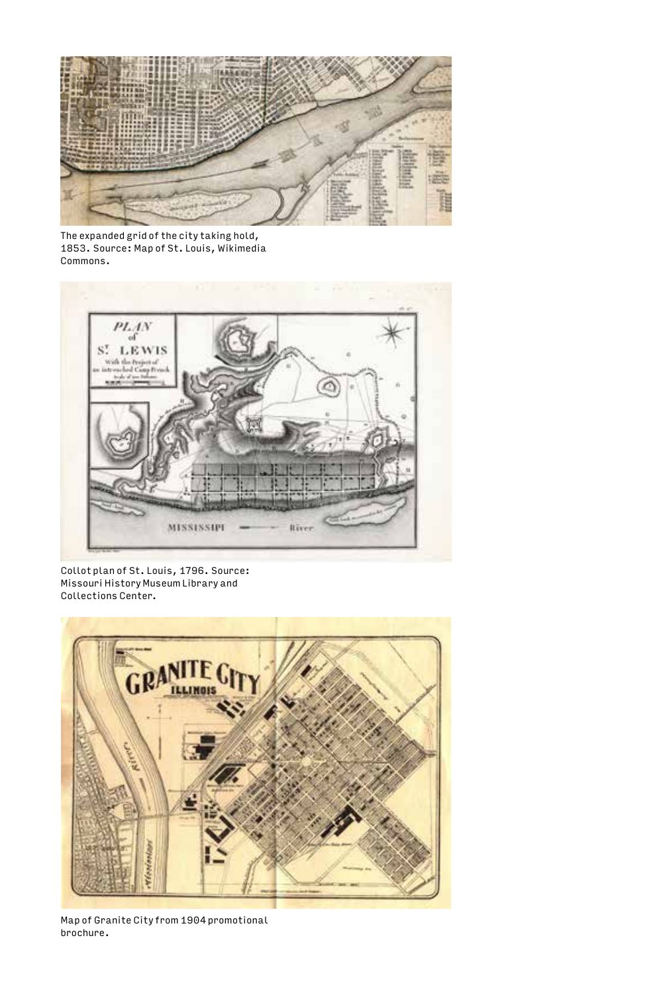

The expanded grid of the city taking hold, 1853. Source: Map of St. Louis, Wikimedia Commons.



Collot plan of St. Louis, 1796. Source: Missouri History Museum Library and Collections Center.



Map of Granite City from 1904 promotional brochure.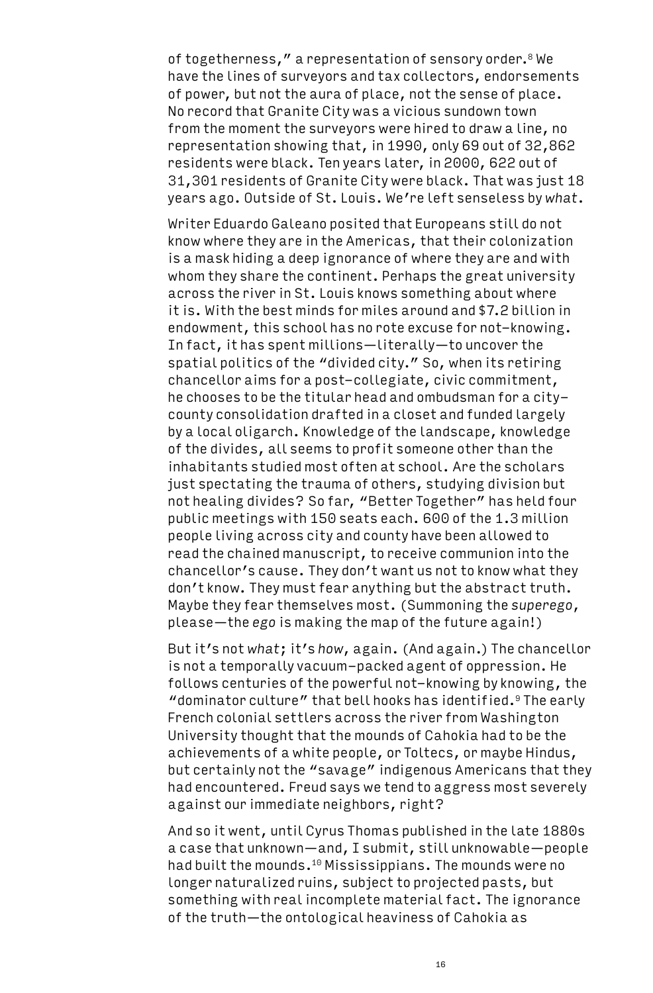of togetherness," a representation of sensory order.<sup>8</sup> We have the lines of surveyors and tax collectors, endorsements of power, but not the aura of place, not the sense of place. No record that Granite City was a vicious sundown town from the moment the surveyors were hired to draw a line, no representation showing that, in 1990, only 69 out of 32,862 residents were black. Ten years later, in 2000, 622 out of 31,301 residents of Granite City were black. That was just 18 years ago. Outside of St. Louis. We're left senseless by *what*.

Writer Eduardo Galeano posited that Europeans still do not know where they are in the Americas, that their colonization is a mask hiding a deep ignorance of where they are and with whom they share the continent. Perhaps the great university across the river in St. Louis knows something about where it is. With the best minds for miles around and \$7.2 billion in endowment, this school has no rote excuse for not-knowing. In fact, it has spent millions—literally—to uncover the spatial politics of the "divided city." So, when its retiring chancellor aims for a post-collegiate, civic commitment, he chooses to be the titular head and ombudsman for a citycounty consolidation drafted in a closet and funded largely by a local oligarch. Knowledge of the landscape, knowledge of the divides, all seems to profit someone other than the inhabitants studied most often at school. Are the scholars just spectating the trauma of others, studying division but not healing divides? So far, "Better Together" has held four public meetings with 150 seats each. 600 of the 1.3 million people living across city and county have been allowed to read the chained manuscript, to receive communion into the chancellor's cause. They don't want us not to know what they don't know. They must fear anything but the abstract truth. Maybe they fear themselves most. (Summoning the *superego*, please—the *ego* is making the map of the future again!)

But it's not *what*; it's *how*, again. (And again.) The chancellor is not a temporally vacuum-packed agent of oppression. He follows centuries of the powerful not-knowing by knowing, the "dominator culture" that bell hooks has identified.9 The early French colonial settlers across the river from Washington University thought that the mounds of Cahokia had to be the achievements of a white people, or Toltecs, or maybe Hindus, but certainly not the "savage" indigenous Americans that they had encountered. Freud says we tend to aggress most severely against our immediate neighbors, right?

And so it went, until Cyrus Thomas published in the late 1880s a case that unknown—and, I submit, still unknowable—people had built the mounds.<sup>10</sup> Mississippians. The mounds were no longer naturalized ruins, subject to projected pasts, but something with real incomplete material fact. The ignorance of the truth—the ontological heaviness of Cahokia as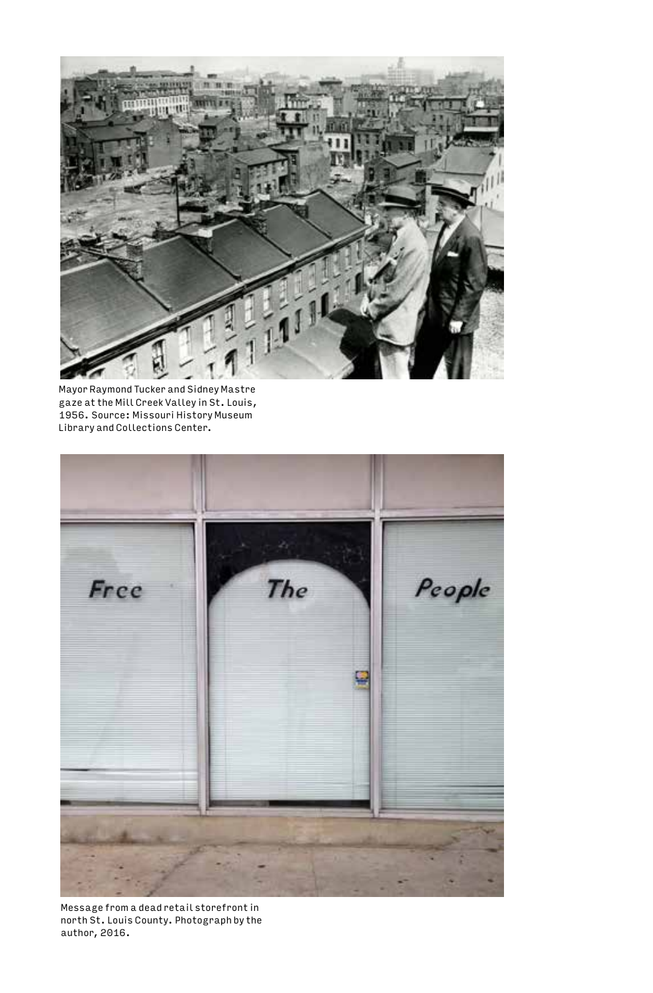

Mayor Raymond Tucker and Sidney Mastre gaze at the Mill Creek Valley in St. Louis, 1956. Source: Missouri History Museum Library and Collections Center.



Message from a dead retail storefront in north St. Louis County. Photograph by the author, 2016.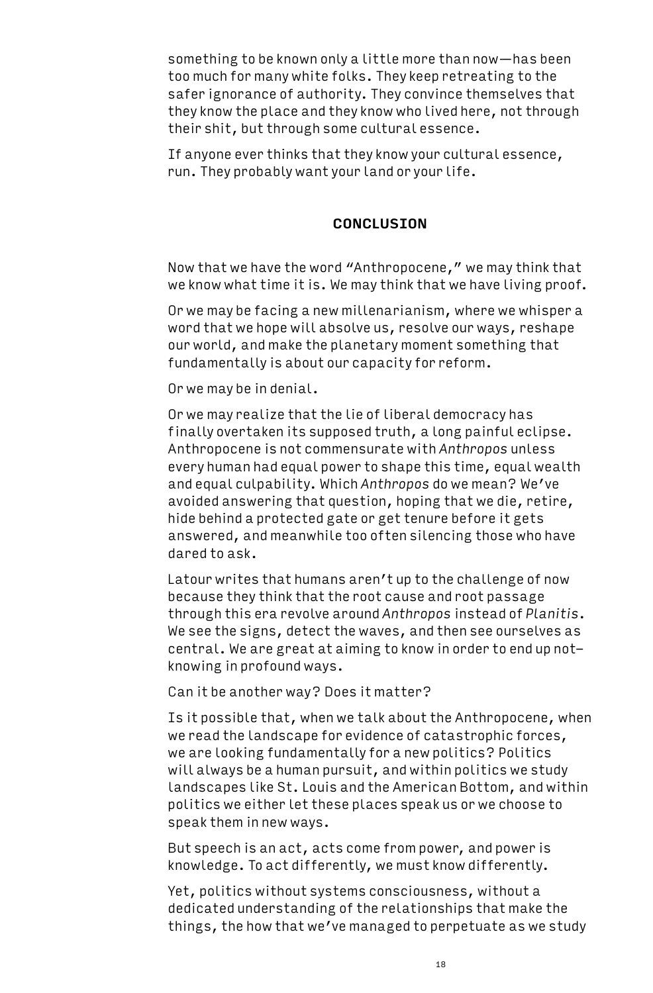something to be known only a little more than now—has been too much for many white folks. They keep retreating to the safer ignorance of authority. They convince themselves that they know the place and they know who lived here, not through their shit, but through some cultural essence.

If anyone ever thinks that they know your cultural essence, run. They probably want your land or your life.

## **CONCLUSION**

Now that we have the word "Anthropocene," we may think that we know what time it is. We may think that we have living proof.

Or we may be facing a new millenarianism, where we whisper a word that we hope will absolve us, resolve our ways, reshape our world, and make the planetary moment something that fundamentally is about our capacity for reform.

Or we may be in denial.

Or we may realize that the lie of liberal democracy has finally overtaken its supposed truth, a long painful eclipse. Anthropocene is not commensurate with *Anthropos* unless every human had equal power to shape this time, equal wealth and equal culpability. Which *Anthropos* do we mean? We've avoided answering that question, hoping that we die, retire, hide behind a protected gate or get tenure before it gets answered, and meanwhile too often silencing those who have dared to ask.

Latour writes that humans aren't up to the challenge of now because they think that the root cause and root passage through this era revolve around *Anthropos* instead of *Planitis*. We see the signs, detect the waves, and then see ourselves as central. We are great at aiming to know in order to end up notknowing in profound ways.

Can it be another way? Does it matter?

Is it possible that, when we talk about the Anthropocene, when we read the landscape for evidence of catastrophic forces, we are looking fundamentally for a new politics? Politics will always be a human pursuit, and within politics we study landscapes like St. Louis and the American Bottom, and within politics we either let these places speak us or we choose to speak them in new ways.

But speech is an act, acts come from power, and power is knowledge. To act differently, we must know differently.

Yet, politics without systems consciousness, without a dedicated understanding of the relationships that make the things, the how that we've managed to perpetuate as we study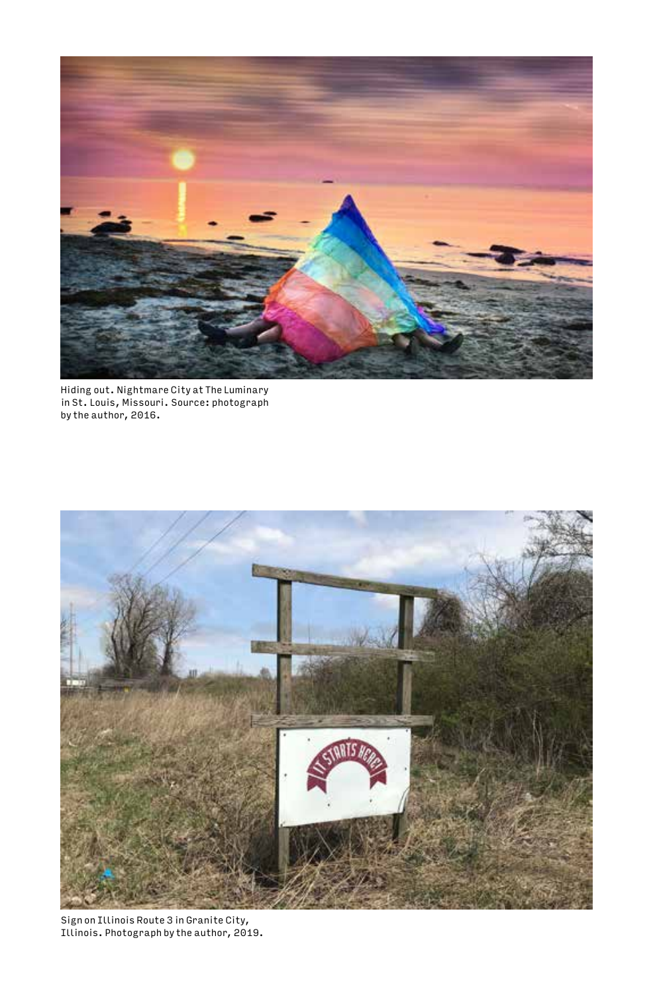

Hiding out. Nightmare City at The Luminary in St. Louis, Missouri. Source: photograph by the author, 2016.



Sign on Illinois Route 3 in Granite City, Illinois. Photograph by the author, 2019.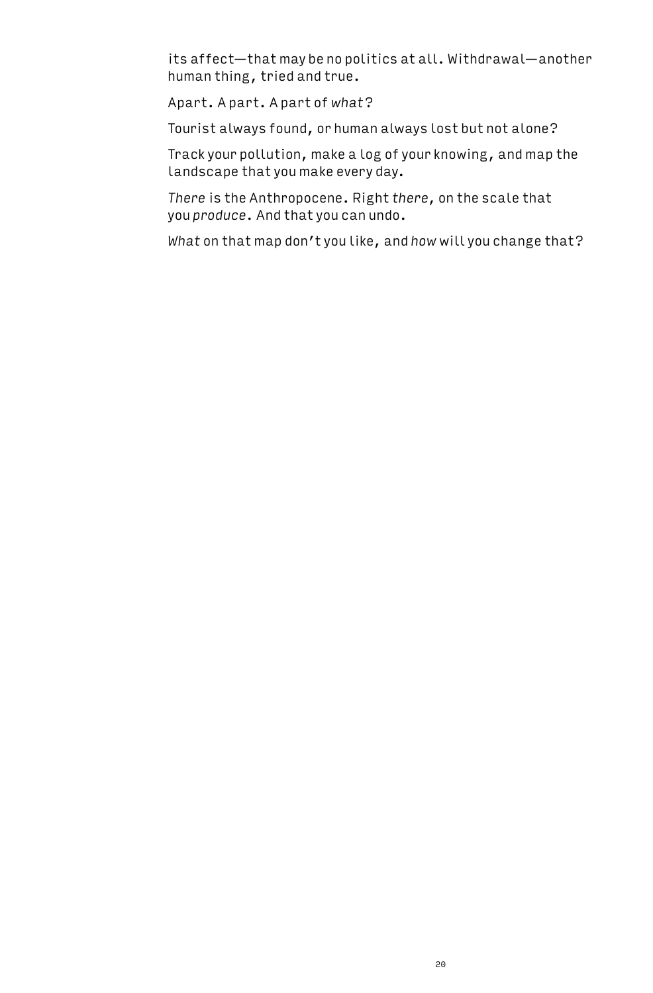its affect—that may be no politics at all. Withdrawal—another human thing, tried and true.

Apart. A part. A part of *what*?

Tourist always found, or human always lost but not alone?

Track your pollution, make a log of your knowing, and map the landscape that you make every day.

*There* is the Anthropocene. Right *there*, on the scale that you *produce*. And that you can undo.

*What* on that map don't you like, and *how* will you change that?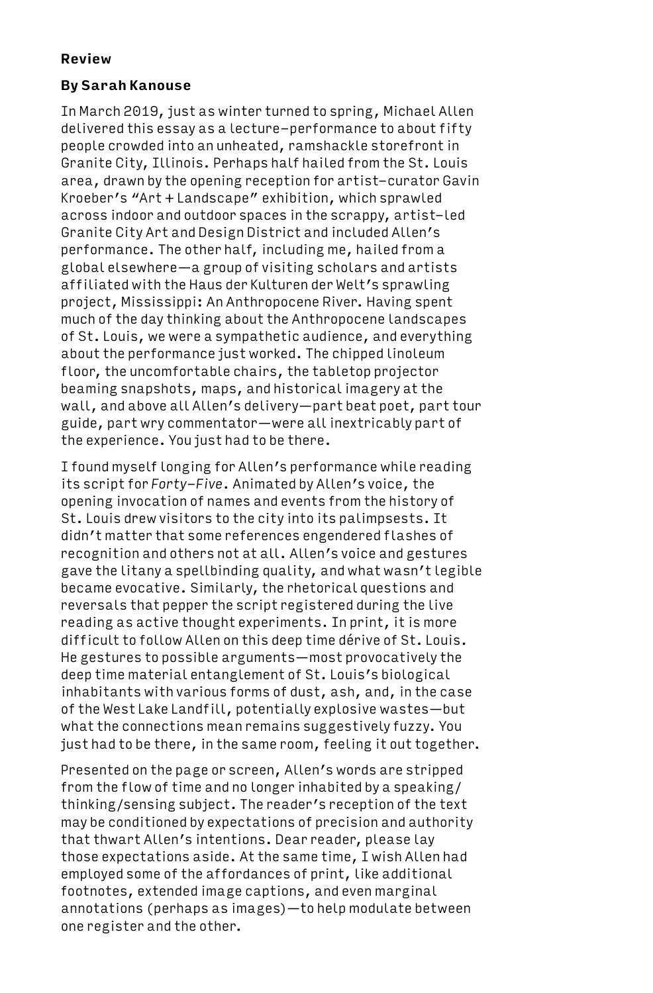## **Review**

# **By Sarah Kanouse**

In March 2019, just as winter turned to spring, Michael Allen delivered this essay as a lecture-performance to about fifty people crowded into an unheated, ramshackle storefront in Granite City, Illinois. Perhaps half hailed from the St. Louis area, drawn by the opening reception for artist-curator Gavin Kroeber's "Art + Landscape" exhibition, which sprawled across indoor and outdoor spaces in the scrappy, artist-led Granite City Art and Design District and included Allen's performance. The other half, including me, hailed from a global elsewhere—a group of visiting scholars and artists affiliated with the Haus der Kulturen der Welt's sprawling project, Mississippi: An Anthropocene River. Having spent much of the day thinking about the Anthropocene landscapes of St. Louis, we were a sympathetic audience, and everything about the performance just worked. The chipped linoleum floor, the uncomfortable chairs, the tabletop projector beaming snapshots, maps, and historical imagery at the wall, and above all Allen's delivery—part beat poet, part tour guide, part wry commentator—were all inextricably part of the experience. You just had to be there.

I found myself longing for Allen's performance while reading its script for *Forty-Five*. Animated by Allen's voice, the opening invocation of names and events from the history of St. Louis drew visitors to the city into its palimpsests. It didn't matter that some references engendered flashes of recognition and others not at all. Allen's voice and gestures gave the litany a spellbinding quality, and what wasn't legible became evocative. Similarly, the rhetorical questions and reversals that pepper the script registered during the live reading as active thought experiments. In print, it is more difficult to follow Allen on this deep time dérive of St. Louis. He gestures to possible arguments—most provocatively the deep time material entanglement of St. Louis's biological inhabitants with various forms of dust, ash, and, in the case of the West Lake Landfill, potentially explosive wastes—but what the connections mean remains suggestively fuzzy. You just had to be there, in the same room, feeling it out together.

Presented on the page or screen, Allen's words are stripped from the flow of time and no longer inhabited by a speaking/ thinking/sensing subject. The reader's reception of the text may be conditioned by expectations of precision and authority that thwart Allen's intentions. Dear reader, please lay those expectations aside. At the same time, I wish Allen had employed some of the affordances of print, like additional footnotes, extended image captions, and even marginal annotations (perhaps as images)—to help modulate between one register and the other.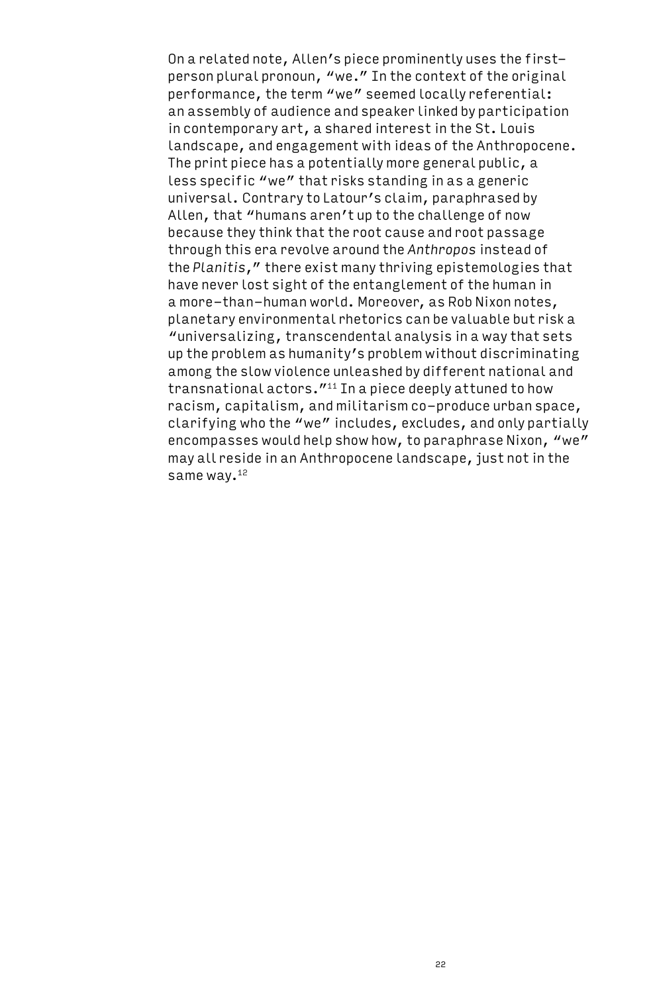On a related note, Allen's piece prominently uses the firstperson plural pronoun, "we." In the context of the original performance, the term "we" seemed locally referential: an assembly of audience and speaker linked by participation in contemporary art, a shared interest in the St. Louis landscape, and engagement with ideas of the Anthropocene. The print piece has a potentially more general public, a less specific "we" that risks standing in as a generic universal. Contrary to Latour's claim, paraphrased by Allen, that "humans aren't up to the challenge of now because they think that the root cause and root passage through this era revolve around the *Anthropos* instead of the *Planitis*," there exist many thriving epistemologies that have never lost sight of the entanglement of the human in a more-than-human world. Moreover, as Rob Nixon notes, planetary environmental rhetorics can be valuable but risk a "universalizing, transcendental analysis in a way that sets up the problem as humanity's problem without discriminating among the slow violence unleashed by different national and transnational actors.<sup>"11</sup> In a piece deeply attuned to how racism, capitalism, and militarism co-produce urban space, clarifying who the "we" includes, excludes, and only partially encompasses would help show how, to paraphrase Nixon, "we" may all reside in an Anthropocene landscape, just not in the same way.<sup>12</sup>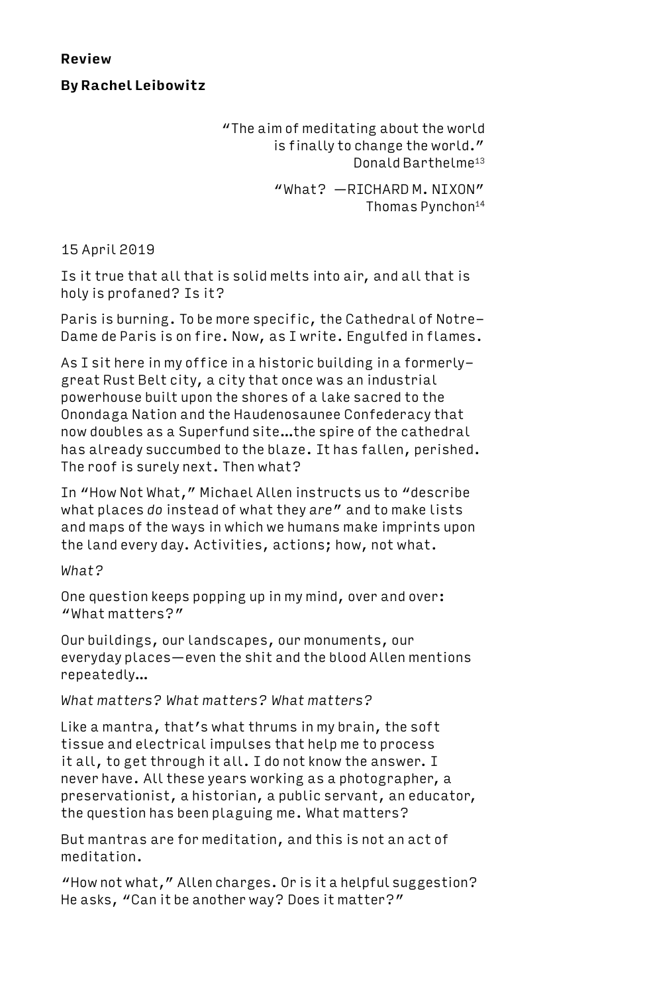**Review**

**By Rachel Leibowitz**

"The aim of meditating about the world is finally to change the world." Donald Barthelme13

> "What? —RICHARD M. NIXON" Thomas Pynchon14

15 April 2019

Is it true that all that is solid melts into air, and all that is holy is profaned? Is it?

Paris is burning. To be more specific, the Cathedral of Notre-Dame de Paris is on fire. Now, as I write. Engulfed in flames.

As I sit here in my office in a historic building in a formerlygreat Rust Belt city, a city that once was an industrial powerhouse built upon the shores of a lake sacred to the Onondaga Nation and the Haudenosaunee Confederacy that now doubles as a Superfund site…the spire of the cathedral has already succumbed to the blaze. It has fallen, perished. The roof is surely next. Then what?

In "How Not What," Michael Allen instructs us to "describe what places *do* instead of what they *are*" and to make lists and maps of the ways in which we humans make imprints upon the land every day. Activities, actions; how, not what.

*What?*

One question keeps popping up in my mind, over and over: "What matters?"

Our buildings, our landscapes, our monuments, our everyday places—even the shit and the blood Allen mentions repeatedly…

*What matters? What matters? What matters?*

Like a mantra, that's what thrums in my brain, the soft tissue and electrical impulses that help me to process it all, to get through it all. I do not know the answer. I never have. All these years working as a photographer, a preservationist, a historian, a public servant, an educator, the question has been plaguing me. What matters?

But mantras are for meditation, and this is not an act of meditation.

"How not what," Allen charges. Or is it a helpful suggestion? He asks, "Can it be another way? Does it matter?"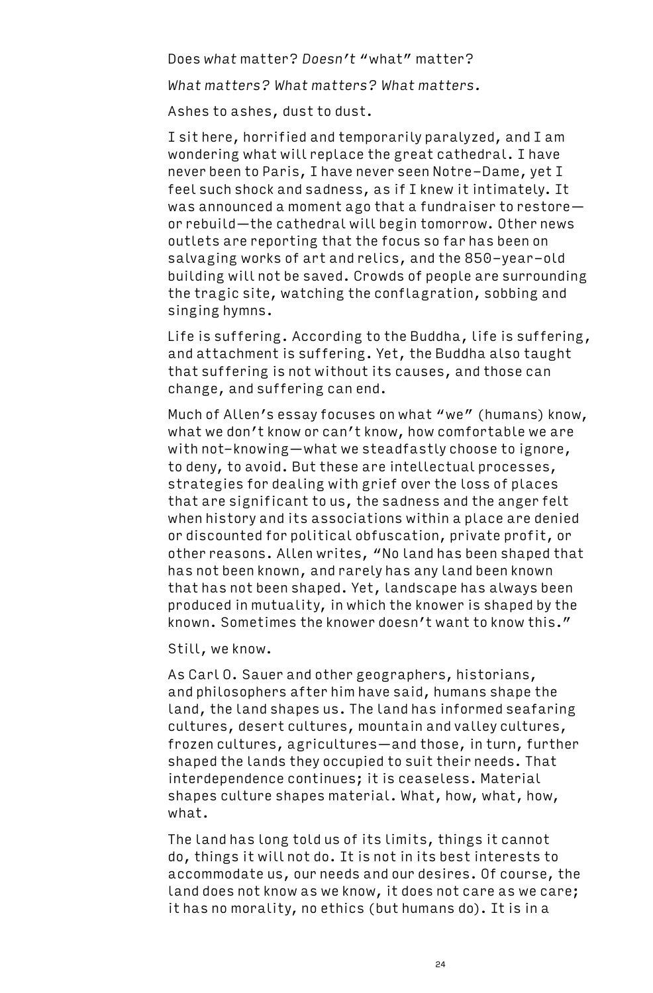Does *what* matter? *Doesn't* "what" matter?

*What matters? What matters? What matters.*

Ashes to ashes, dust to dust.

I sit here, horrified and temporarily paralyzed, and I am wondering what will replace the great cathedral. I have never been to Paris, I have never seen Notre-Dame, yet I feel such shock and sadness, as if I knew it intimately. It was announced a moment ago that a fundraiser to restore or rebuild—the cathedral will begin tomorrow. Other news outlets are reporting that the focus so far has been on salvaging works of art and relics, and the 850-year-old building will not be saved. Crowds of people are surrounding the tragic site, watching the conflagration, sobbing and singing hymns.

Life is suffering. According to the Buddha, life is suffering, and attachment is suffering. Yet, the Buddha also taught that suffering is not without its causes, and those can change, and suffering can end.

Much of Allen's essay focuses on what "we" (humans) know, what we don't know or can't know, how comfortable we are with not-knowing—what we steadfastly choose to ignore, to deny, to avoid. But these are intellectual processes, strategies for dealing with grief over the loss of places that are significant to us, the sadness and the anger felt when history and its associations within a place are denied or discounted for political obfuscation, private profit, or other reasons. Allen writes, "No land has been shaped that has not been known, and rarely has any land been known that has not been shaped. Yet, landscape has always been produced in mutuality, in which the knower is shaped by the known. Sometimes the knower doesn't want to know this."

Still, we know.

As Carl O. Sauer and other geographers, historians, and philosophers after him have said, humans shape the land, the land shapes us. The land has informed seafaring cultures, desert cultures, mountain and valley cultures, frozen cultures, agricultures—and those, in turn, further shaped the lands they occupied to suit their needs. That interdependence continues; it is ceaseless. Material shapes culture shapes material. What, how, what, how, what.

The land has long told us of its limits, things it cannot do, things it will not do. It is not in its best interests to accommodate us, our needs and our desires. Of course, the land does not know as we know, it does not care as we care; it has no morality, no ethics (but humans do). It is in a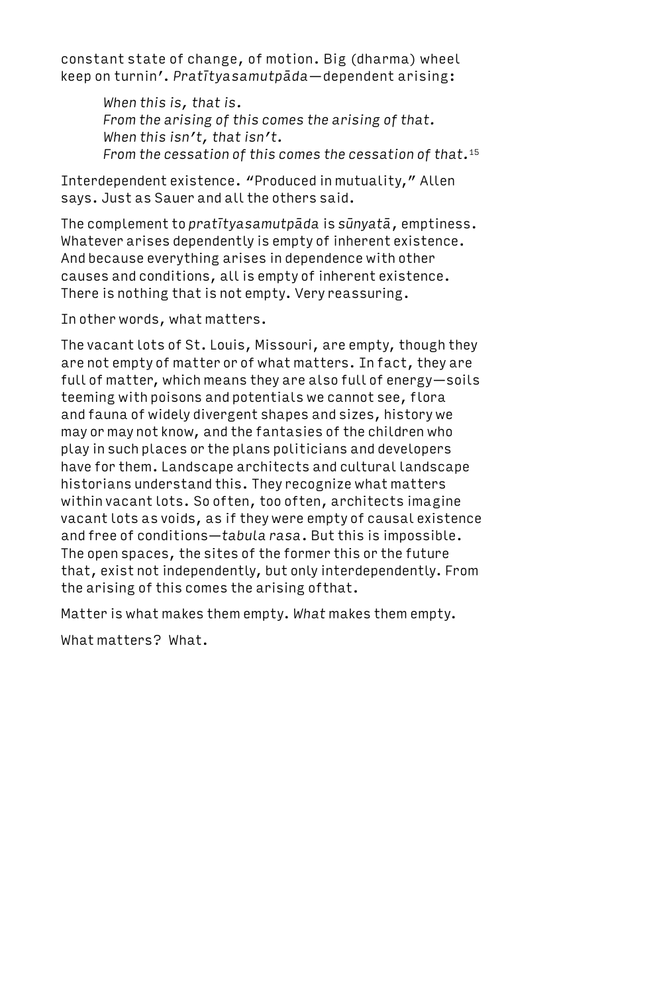constant state of change, of motion. Big (dharma) wheel keep on turnin'. *Pratītyasamutpāda*—dependent arising:

> *When this is, that is. From the arising of this comes the arising of that. When this isn't, that isn't. From the cessation of this comes the cessation of that.*<sup>15</sup>

Interdependent existence. "Produced in mutuality," Allen says. Just as Sauer and all the others said.

The complement to *pratītyasamutpāda* is *sūnyatā*, emptiness. Whatever arises dependently is empty of inherent existence. And because everything arises in dependence with other causes and conditions, all is empty of inherent existence. There is nothing that is not empty. Very reassuring.

In other words, what matters.

The vacant lots of St. Louis, Missouri, are empty, though they are not empty of matter or of what matters. In fact, they are full of matter, which means they are also full of energy—soils teeming with poisons and potentials we cannot see, flora and fauna of widely divergent shapes and sizes, history we may or may not know, and the fantasies of the children who play in such places or the plans politicians and developers have for them. Landscape architects and cultural landscape historians understand this. They recognize what matters within vacant lots. So often, too often, architects imagine vacant lots as voids, as if they were empty of causal existence and free of conditions—*tabula rasa*. But this is impossible. The open spaces, the sites of the former this or the future that, exist not independently, but only interdependently. From the arising of this comes the arising ofthat.

Matter is what makes them empty. *What* makes them empty.

What matters? What.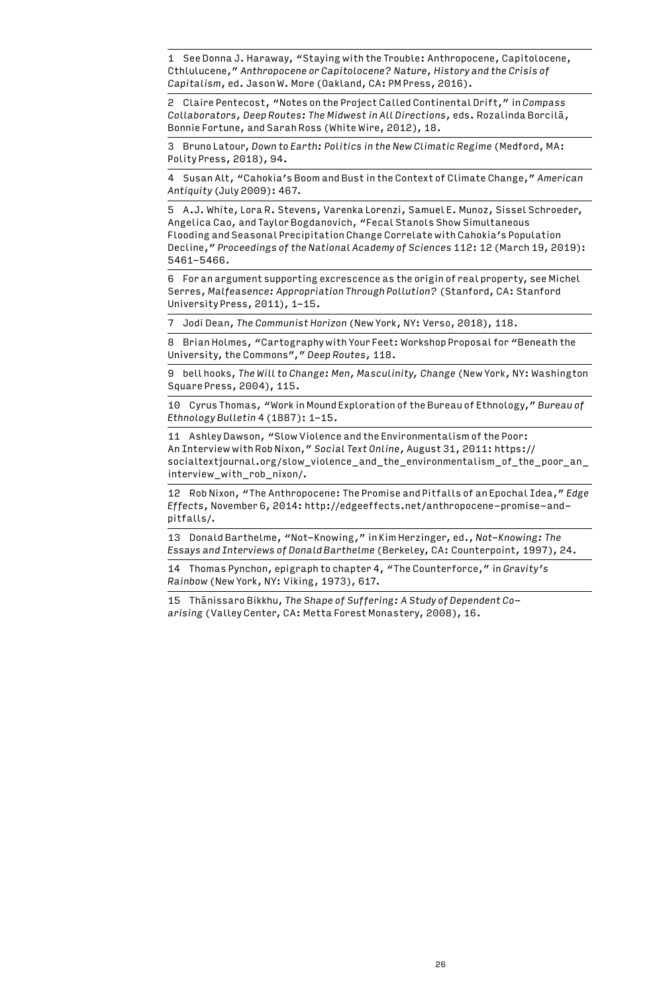1 See Donna J. Haraway, "Staying with the Trouble: Anthropocene, Capitolocene, Cthlulucene," *Anthropocene or Capitolocene? Nature, History and the Crisis of Capitalism*, ed. Jason W. More (Oakland, CA: PM Press, 2016).

2 Claire Pentecost, "Notes on the Project Called Continental Drift," in *Compass Collaborators, Deep Routes: The Midwest in All Directions*, eds. Rozalinda Borcilā, Bonnie Fortune, and Sarah Ross (White Wire, 2012), 18.

3 Bruno Latour, *Down to Earth: Politics in the New Climatic Regime* (Medford, MA: Polity Press, 2018), 94.

4 Susan Alt, "Cahokia's Boom and Bust in the Context of Climate Change," *American Antiquity* (July 2009): 467.

5 A.J. White, Lora R. Stevens, Varenka Lorenzi, Samuel E. Munoz, Sissel Schroeder, Angelica Cao, and Taylor Bogdanovich, "Fecal Stanols Show Simultaneous Flooding and Seasonal Precipitation Change Correlate with Cahokia's Population Decline," *Proceedings of the National Academy of Sciences* 112: 12 (March 19, 2019): 5461-5466.

6 For an argument supporting excrescence as the origin of real property, see Michel Serres, *Malfeasence: Appropriation Through Pollution?* (Stanford, CA: Stanford University Press, 2011), 1-15.

7 Jodi Dean, *The Communist Horizon* (New York, NY: Verso, 2018), 118.

8 Brian Holmes, "Cartography with Your Feet: Workshop Proposal for "Beneath the University, the Commons"," *Deep Routes*, 118.

9 bell hooks, *The Will to Change: Men, Masculinity, Change* (New York, NY: Washington Square Press, 2004), 115.

10 Cyrus Thomas, "Work in Mound Exploration of the Bureau of Ethnology," *Bureau of Ethnology Bulletin* 4 (1887): 1-15.

11 Ashley Dawson, "Slow Violence and the Environmentalism of the Poor: An Interview with Rob Nixon," *Social Text Online*, August 31, 2011: https:// socialtextjournal.org/slow\_violence\_and\_the\_environmentalism\_of\_the\_poor\_an\_ interview\_with\_rob\_nixon/.

12 Rob Nixon, "The Anthropocene: The Promise and Pitfalls of an Epochal Idea," *Edge Effects*, November 6, 2014: http://edgeeffects.net/anthropocene-promise-andpitfalls/.

13 Donald Barthelme, "Not-Knowing," in Kim Herzinger, ed., *Not-Knowing: The Essays and Interviews of Donald Barthelme* (Berkeley, CA: Counterpoint, 1997), 24.

14 Thomas Pynchon, epigraph to chapter 4, "The Counterforce," in *Gravity's Rainbow* (New York, NY: Viking, 1973), 617.

15 Thānissaro Bikkhu, *The Shape of Suffering: A Study of Dependent Coarising* (Valley Center, CA: Metta Forest Monastery, 2008), 16.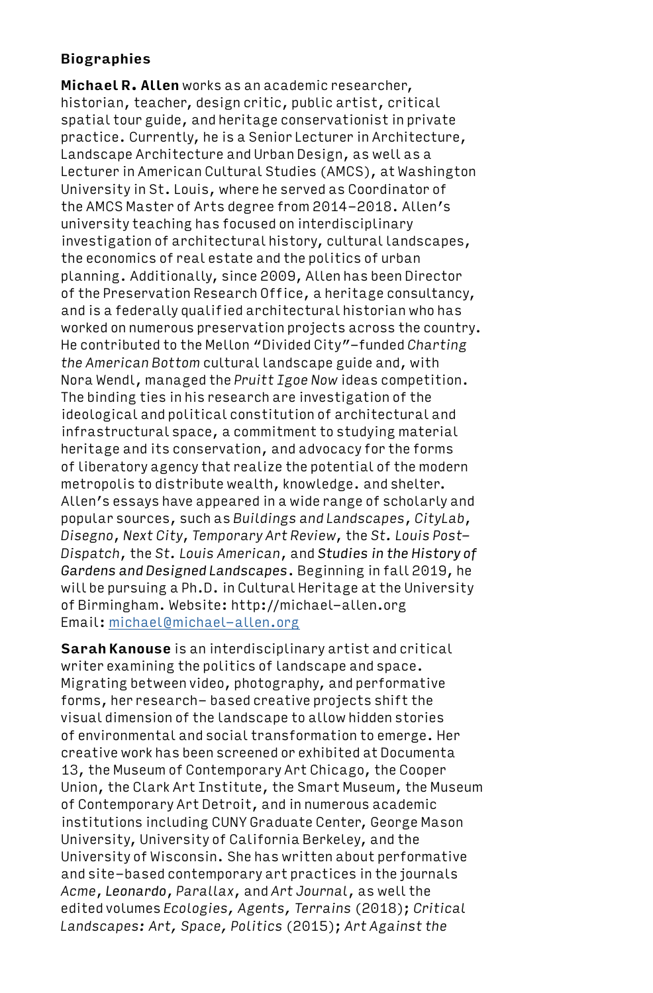# **Biographies**

**Michael R. Allen** works as an academic researcher, historian, teacher, design critic, public artist, critical spatial tour guide, and heritage conservationist in private practice. Currently, he is a Senior Lecturer in Architecture, Landscape Architecture and Urban Design, as well as a Lecturer in American Cultural Studies (AMCS), at Washington University in St. Louis, where he served as Coordinator of the AMCS Master of Arts degree from 2014-2018. Allen's university teaching has focused on interdisciplinary investigation of architectural history, cultural landscapes, the economics of real estate and the politics of urban planning. Additionally, since 2009, Allen has been Director of the Preservation Research Office, a heritage consultancy, and is a federally qualified architectural historian who has worked on numerous preservation projects across the country. He contributed to the Mellon "Divided City"-funded *Charting the American Bottom* cultural landscape guide and, with Nora Wendl, managed the *Pruitt Igoe Now* ideas competition. The binding ties in his research are investigation of the ideological and political constitution of architectural and infrastructural space, a commitment to studying material heritage and its conservation, and advocacy for the forms of liberatory agency that realize the potential of the modern metropolis to distribute wealth, knowledge. and shelter. Allen's essays have appeared in a wide range of scholarly and popular sources, such as *Buildings and Landscapes*, *CityLab*, *Disegno*, *Next City*, *Temporary Art Review*, the *St. Louis Post-Dispatch*, the *St. Louis American*, and *Studies in the History of Gardens and Designed Landscapes*. Beginning in fall 2019, he will be pursuing a Ph.D. in Cultural Heritage at the University of Birmingham. Website: http://michael-allen.org Email: michael@michael-allen.org

**Sarah Kanouse** is an interdisciplinary artist and critical writer examining the politics of landscape and space. Migrating between video, photography, and performative forms, her research- based creative projects shift the visual dimension of the landscape to allow hidden stories of environmental and social transformation to emerge. Her creative work has been screened or exhibited at Documenta 13, the Museum of Contemporary Art Chicago, the Cooper Union, the Clark Art Institute, the Smart Museum, the Museum of Contemporary Art Detroit, and in numerous academic institutions including CUNY Graduate Center, George Mason University, University of California Berkeley, and the University of Wisconsin. She has written about performative and site-based contemporary art practices in the journals *Acme*, *Leonardo*, *Parallax*, and *Art Journal*, as well the edited volumes *Ecologies, Agents, Terrains* (2018); *Critical Landscapes: Art, Space, Politics* (2015); *Art Against the*